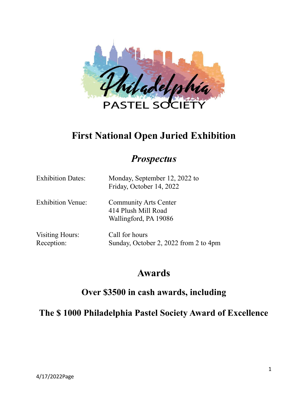

# **First National Open Juried Exhibition**

## *Prospectus*

| <b>Exhibition Dates:</b>             | Monday, September 12, 2022 to<br>Friday, October 14, 2022                    |
|--------------------------------------|------------------------------------------------------------------------------|
| <b>Exhibition Venue:</b>             | <b>Community Arts Center</b><br>414 Plush Mill Road<br>Wallingford, PA 19086 |
| <b>Visiting Hours:</b><br>Reception: | Call for hours<br>Sunday, October 2, 2022 from 2 to 4pm                      |

# **Awards**

## **Over \$3500 in cash awards, including**

**The \$ 1000 Philadelphia Pastel Society Award of Excellence**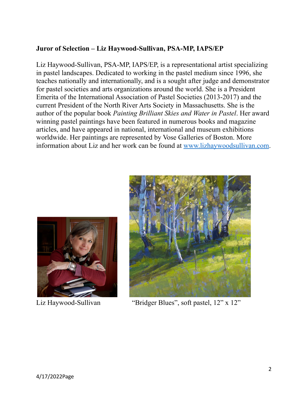### **Juror of Selection – Liz Haywood-Sullivan, PSA-MP, IAPS/EP**

Liz Haywood-Sullivan, PSA-MP, IAPS/EP, is a representational artist specializing in pastel landscapes. Dedicated to working in the pastel medium since 1996, she teaches nationally and internationally, and is a sought after judge and demonstrator for pastel societies and arts organizations around the world. She is a President Emerita of the International Association of Pastel Societies (2013-2017) and the current President of the North River Arts Society in Massachusetts. She is the author of the popular book *Painting Brilliant Skies and Water in Pastel*. Her award winning pastel paintings have been featured in numerous books and magazine articles, and have appeared in national, international and museum exhibitions worldwide. Her paintings are represented by Vose Galleries of Boston. More information about Liz and her work can be found at [www.lizhaywoodsullivan.com](http://www.lizhaywoodsullivan.com).





Liz Haywood-Sullivan "Bridger Blues", soft pastel, 12" x 12"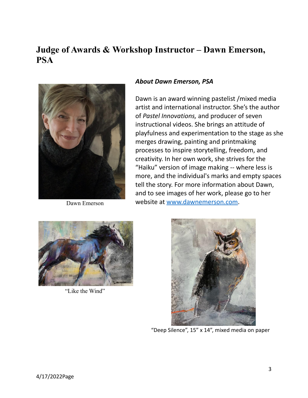## **Judge of Awards & Workshop Instructor – Dawn Emerson, PSA**



Dawn Emerson

#### *About Dawn Emerson, PSA*

Dawn is an award winning pastelist /mixed media artist and international instructor. She's the author of *Pastel Innovations,* and producer of seven instructional videos. She brings an attitude of playfulness and experimentation to the stage as she merges drawing, painting and printmaking processes to inspire storytelling, freedom, and creativity. In her own work, she strives for the "Haiku" version of image making -- where less is more, and the individual's marks and empty spaces tell the story. For more information about Dawn, and to see images of her work, please go to her website at [www.dawnemerson.com](http://www.dawnemerson.com).



"Like the Wind"



"Deep Silence", 15" x 14", mixed media on paper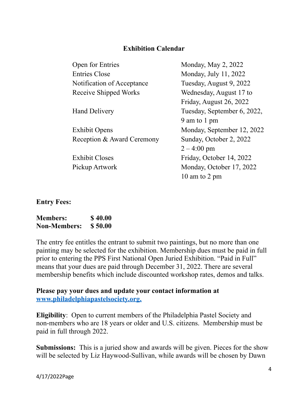#### **Exhibition Calendar**

| Open for Entries             | Monday, May 2, 2022         |
|------------------------------|-----------------------------|
| <b>Entries Close</b>         | Monday, July 11, 2022       |
| Notification of Acceptance   | Tuesday, August 9, 2022     |
| <b>Receive Shipped Works</b> | Wednesday, August 17 to     |
|                              | Friday, August 26, 2022     |
| <b>Hand Delivery</b>         | Tuesday, September 6, 2022, |
|                              | 9 am to 1 pm                |
| <b>Exhibit Opens</b>         | Monday, September 12, 2022  |
| Reception & Award Ceremony   | Sunday, October 2, 2022     |
|                              | $2 - 4:00 \text{ pm}$       |
| <b>Exhibit Closes</b>        | Friday, October 14, 2022    |
| Pickup Artwork               | Monday, October 17, 2022    |
|                              | 10 am to 2 pm               |
|                              |                             |

**Entry Fees:**

| <b>Members:</b>     | \$40.00 |
|---------------------|---------|
| <b>Non-Members:</b> | \$50.00 |

The entry fee entitles the entrant to submit two paintings, but no more than one painting may be selected for the exhibition. Membership dues must be paid in full prior to entering the PPS First National Open Juried Exhibition. "Paid in Full" means that your dues are paid through December 31, 2022. There are several membership benefits which include discounted workshop rates, demos and talks.

#### **Please pay your dues and update your contact information at [www.philadelphiapastelsociety.org](http://www.philadelphiapastelsociety.org).**

**Eligibility**: Open to current members of the Philadelphia Pastel Society and non-members who are 18 years or older and U.S. citizens. Membership must be paid in full through 2022.

**Submissions:** This is a juried show and awards will be given. Pieces for the show will be selected by Liz Haywood-Sullivan, while awards will be chosen by Dawn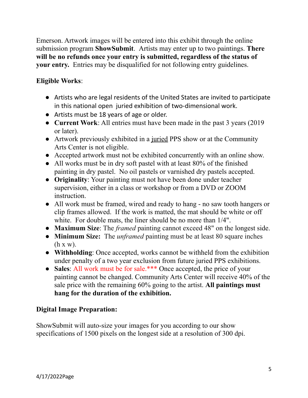Emerson. Artwork images will be entered into this exhibit through the online submission program **ShowSubmit**. Artists may enter up to two paintings. **There will be no refunds once your entry is submitted, regardless of the status of your entry.** Entries may be disqualified for not following entry guidelines.

## **Eligible Works**:

- Artists who are legal residents of the United States are invited to participate in this national open juried exhibition of two-dimensional work.
- Artists must be 18 years of age or older.
- **Current Work**: All entries must have been made in the past 3 years (2019 or later).
- Artwork previously exhibited in a juried PPS show or at the Community Arts Center is not eligible.
- Accepted artwork must not be exhibited concurrently with an online show.
- All works must be in dry soft pastel with at least 80% of the finished painting in dry pastel. No oil pastels or varnished dry pastels accepted.
- **Originality**: Your painting must not have been done under teacher supervision, either in a class or workshop or from a DVD or ZOOM instruction.
- All work must be framed, wired and ready to hang no saw tooth hangers or clip frames allowed. If the work is matted, the mat should be white or off white. For double mats, the liner should be no more than 1/4".
- **Maximum Size**: The *framed* painting cannot exceed 48" on the longest side.
- **Minimum Size:** The *unframed* painting must be at least 80 square inches  $(h x w)$ .
- **Withholding**: Once accepted, works cannot be withheld from the exhibition under penalty of a two year exclusion from future juried PPS exhibitions.
- **● Sales**: All work must be for sale.\*\*\* Once accepted, the price of your painting cannot be changed. Community Arts Center will receive 40% of the sale price with the remaining 60% going to the artist. **All paintings must hang for the duration of the exhibition.**

## **Digital Image Preparation:**

ShowSubmit will auto-size your images for you according to our show specifications of 1500 pixels on the longest side at a resolution of 300 dpi.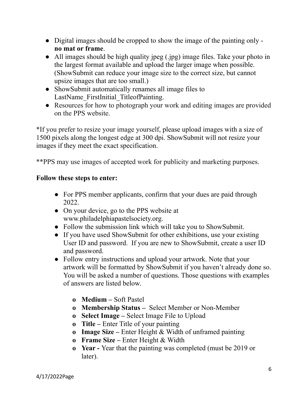- Digital images should be cropped to show the image of the painting only **no mat or frame**.
- All images should be high quality jpeg (.jpg) image files. Take your photo in the largest format available and upload the larger image when possible. (ShowSubmit can reduce your image size to the correct size, but cannot upsize images that are too small.)
- ShowSubmit automatically renames all image files to LastName FirstInitial TitleofPainting.
- Resources for how to photograph your work and editing images are provided on the PPS website.

\*If you prefer to resize your image yourself, please upload images with a size of 1500 pixels along the longest edge at 300 dpi. ShowSubmit will not resize your images if they meet the exact specification.

\*\*PPS may use images of accepted work for publicity and marketing purposes.

## **Follow these steps to enter:**

- For PPS member applicants, confirm that your dues are paid through 2022.
- On your device, go to the PPS website at www.philadelphiapastelsociety.org.
- Follow the submission link which will take you to ShowSubmit.
- If you have used ShowSubmit for other exhibitions, use your existing User ID and password. If you are new to ShowSubmit, create a user ID and password.
- **●** Follow entry instructions and upload your artwork. Note that your artwork will be formatted by ShowSubmit if you haven't already done so. You will be asked a number of questions. Those questions with examples of answers are listed below.
	- **o Medium –** Soft Pastel
	- **o Membership Status –** Select Member or Non-Member
	- **o Select Image –** Select Image File to Upload
	- **o Title –** Enter Title of your painting
	- **o Image Size –** Enter Height & Width of unframed painting
	- **o Frame Size –** Enter Height & Width
	- **o Year -** Year that the painting was completed (must be 2019 or later).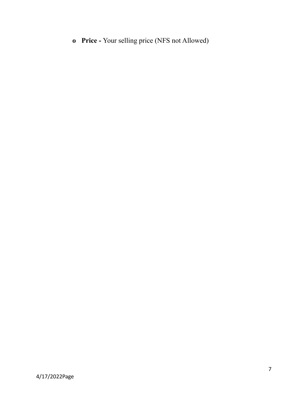**o Price -** Your selling price (NFS not Allowed)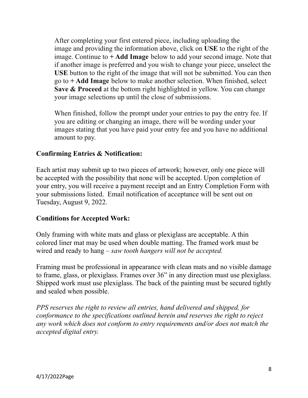After completing your first entered piece, including uploading the image and providing the information above, click on **USE** to the right of the image. Continue to **+ Add Image** below to add your second image. Note that if another image is preferred and you wish to change your piece, unselect the **USE** button to the right of the image that will not be submitted. You can then go to **+ Add Image** below to make another selection. When finished, select **Save & Proceed** at the bottom right highlighted in yellow. You can change your image selections up until the close of submissions.

When finished, follow the prompt under your entries to pay the entry fee. If you are editing or changing an image, there will be wording under your images stating that you have paid your entry fee and you have no additional amount to pay.

## **Confirming Entries & Notification:**

Each artist may submit up to two pieces of artwork; however, only one piece will be accepted with the possibility that none will be accepted. Upon completion of your entry, you will receive a payment receipt and an Entry Completion Form with your submissions listed. Email notification of acceptance will be sent out on Tuesday, August 9, 2022.

## **Conditions for Accepted Work:**

Only framing with white mats and glass or plexiglass are acceptable. A thin colored liner mat may be used when double matting. The framed work must be wired and ready to hang – *saw tooth hangers will not be accepted.*

Framing must be professional in appearance with clean mats and no visible damage to frame, glass, or plexiglass. Frames over 36" in any direction must use plexiglass. Shipped work must use plexiglass. The back of the painting must be secured tightly and sealed when possible.

*PPS reserves the right to review all entries, hand delivered and shipped, for conformance to the specifications outlined herein and reserves the right to reject any work which does not conform to entry requirements and/or does not match the accepted digital entry.*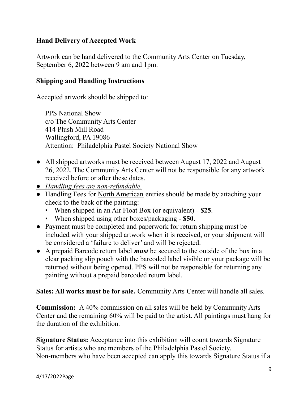## **Hand Delivery of Accepted Work**

Artwork can be hand delivered to the Community Arts Center on Tuesday, September 6, 2022 between 9 am and 1pm.

### **Shipping and Handling Instructions**

Accepted artwork should be shipped to:

PPS National Show c/o The Community Arts Center 414 Plush Mill Road Wallingford, PA 19086 Attention: Philadelphia Pastel Society National Show

- All shipped artworks must be received between August 17, 2022 and August 26, 2022. The Community Arts Center will not be responsible for any artwork received before or after these dates.
- *● Handling fees are non-refundable.*
- Handling Fees for North American entries should be made by attaching your check to the back of the painting:
	- When shipped in an Air Float Box (or equivalent) **\$25**.
	- When shipped using other boxes/packaging **\$50**.
- Payment must be completed and paperwork for return shipping must be included with your shipped artwork when it is received, or your shipment will be considered a 'failure to deliver' and will be rejected.
- A prepaid Barcode return label *must* be secured to the outside of the box in a clear packing slip pouch with the barcoded label visible or your package will be returned without being opened. PPS will not be responsible for returning any painting without a prepaid barcoded return label.

**Sales: All works must be for sale.** Community Arts Center will handle all sales.

**Commission:** A 40% commission on all sales will be held by Community Arts Center and the remaining 60% will be paid to the artist. All paintings must hang for the duration of the exhibition.

**Signature Status:** Acceptance into this exhibition will count towards Signature Status for artists who are members of the Philadelphia Pastel Society. Non-members who have been accepted can apply this towards Signature Status if a